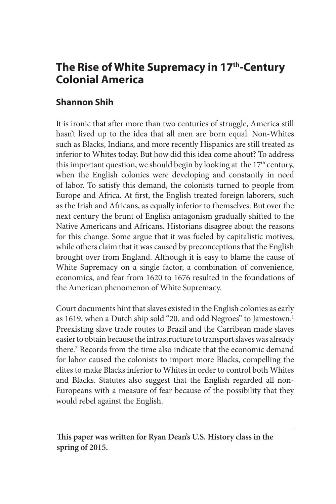# **The Rise of White Supremacy in 17th-Century Colonial America**

# **Shannon Shih**

It is ironic that after more than two centuries of struggle, America still hasn't lived up to the idea that all men are born equal. Non-Whites such as Blacks, Indians, and more recently Hispanics are still treated as inferior to Whites today. But how did this idea come about? To address this important question, we should begin by looking at the  $17<sup>th</sup>$  century, when the English colonies were developing and constantly in need of labor. To satisfy this demand, the colonists turned to people from Europe and Africa. At first, the English treated foreign laborers, such as the Irish and Africans, as equally inferior to themselves. But over the next century the brunt of English antagonism gradually shifted to the Native Americans and Africans. Historians disagree about the reasons for this change. Some argue that it was fueled by capitalistic motives, while others claim that it was caused by preconceptions that the English brought over from England. Although it is easy to blame the cause of White Supremacy on a single factor, a combination of convenience, economics, and fear from 1620 to 1676 resulted in the foundations of the American phenomenon of White Supremacy.

Court documents hint that slaves existed in the English colonies as early as 1619, when a Dutch ship sold "20. and odd Negroes" to Jamestown.<sup>1</sup> Preexisting slave trade routes to Brazil and the Carribean made slaves easier to obtain because the infrastructure to transport slaves was already there.<sup>2</sup> Records from the time also indicate that the economic demand for labor caused the colonists to import more Blacks, compelling the elites to make Blacks inferior to Whites in order to control both Whites and Blacks. Statutes also suggest that the English regarded all non-Europeans with a measure of fear because of the possibility that they would rebel against the English.

**This paper was written for Ryan Dean's U.S. History class in the spring of 2015.**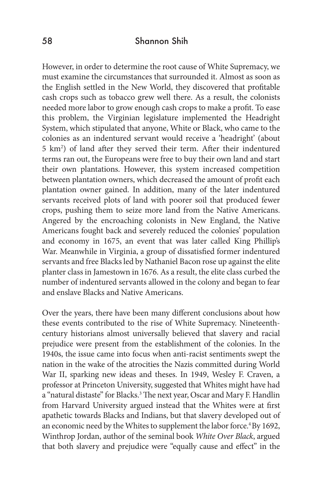However, in order to determine the root cause of White Supremacy, we must examine the circumstances that surrounded it. Almost as soon as the English settled in the New World, they discovered that profitable cash crops such as tobacco grew well there. As a result, the colonists needed more labor to grow enough cash crops to make a profit. To ease this problem, the Virginian legislature implemented the Headright System, which stipulated that anyone, White or Black, who came to the colonies as an indentured servant would receive a 'headright' (about 5 km2 ) of land after they served their term. After their indentured terms ran out, the Europeans were free to buy their own land and start their own plantations. However, this system increased competition between plantation owners, which decreased the amount of profit each plantation owner gained. In addition, many of the later indentured servants received plots of land with poorer soil that produced fewer crops, pushing them to seize more land from the Native Americans. Angered by the encroaching colonists in New England, the Native Americans fought back and severely reduced the colonies' population and economy in 1675, an event that was later called King Phillip's War. Meanwhile in Virginia, a group of dissatisfied former indentured servants and free Blacks led by Nathaniel Bacon rose up against the elite planter class in Jamestown in 1676. As a result, the elite class curbed the number of indentured servants allowed in the colony and began to fear and enslave Blacks and Native Americans.

Over the years, there have been many different conclusions about how these events contributed to the rise of White Supremacy. Nineteenthcentury historians almost universally believed that slavery and racial prejudice were present from the establishment of the colonies. In the 1940s, the issue came into focus when anti-racist sentiments swept the nation in the wake of the atrocities the Nazis committed during World War II, sparking new ideas and theses. In 1949, Wesley F. Craven, a professor at Princeton University, suggested that Whites might have had a "natural distaste" for Blacks.<sup>3</sup> The next year, Oscar and Mary F. Handlin from Harvard University argued instead that the Whites were at first apathetic towards Blacks and Indians, but that slavery developed out of an economic need by the Whites to supplement the labor force.<sup>4</sup> By 1692, Winthrop Jordan, author of the seminal book *White Over Black*, argued that both slavery and prejudice were "equally cause and effect" in the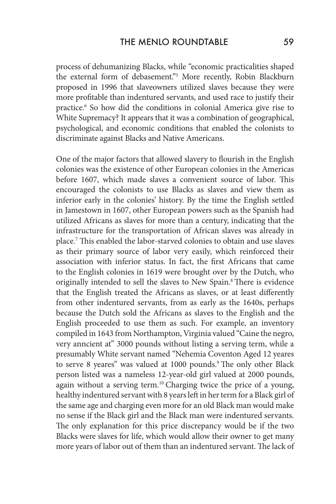process of dehumanizing Blacks, while "economic practicalities shaped the external form of debasement."5 More recently, Robin Blackburn proposed in 1996 that slaveowners utilized slaves because they were more profitable than indentured servants, and used race to justify their practice.6 So how did the conditions in colonial America give rise to White Supremacy? It appears that it was a combination of geographical, psychological, and economic conditions that enabled the colonists to discriminate against Blacks and Native Americans.

One of the major factors that allowed slavery to flourish in the English colonies was the existence of other European colonies in the Americas before 1607, which made slaves a convenient source of labor. This encouraged the colonists to use Blacks as slaves and view them as inferior early in the colonies' history. By the time the English settled in Jamestown in 1607, other European powers such as the Spanish had utilized Africans as slaves for more than a century, indicating that the infrastructure for the transportation of African slaves was already in place.7 This enabled the labor-starved colonies to obtain and use slaves as their primary source of labor very easily, which reinforced their association with inferior status. In fact, the first Africans that came to the English colonies in 1619 were brought over by the Dutch, who originally intended to sell the slaves to New Spain.<sup>8</sup> There is evidence that the English treated the Africans as slaves, or at least differently from other indentured servants, from as early as the 1640s, perhaps because the Dutch sold the Africans as slaves to the English and the English proceeded to use them as such. For example, an inventory compiled in 1643 from Northampton, Virginia valued "Caine the negro, very anncient at" 3000 pounds without listing a serving term, while a presumably White servant named "Nehemia Coventon Aged 12 yeares to serve 8 yeares" was valued at 1000 pounds.<sup>9</sup> The only other Black person listed was a nameless 12-year-old girl valued at 2000 pounds, again without a serving term.<sup>10</sup> Charging twice the price of a young, healthy indentured servant with 8 years left in her term for a Black girl of the same age and charging even more for an old Black man would make no sense if the Black girl and the Black man were indentured servants. The only explanation for this price discrepancy would be if the two Blacks were slaves for life, which would allow their owner to get many more years of labor out of them than an indentured servant. The lack of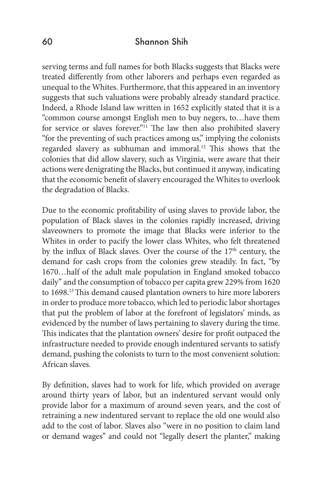serving terms and full names for both Blacks suggests that Blacks were treated differently from other laborers and perhaps even regarded as unequal to the Whites. Furthermore, that this appeared in an inventory suggests that such valuations were probably already standard practice. Indeed, a Rhode Island law written in 1652 explicitly stated that it is a "common course amongst English men to buy negers, to…have them for service or slaves forever."<sup>11</sup> The law then also prohibited slavery "for the preventing of such practices among us," implying the colonists regarded slavery as subhuman and immoral.<sup>12</sup> This shows that the colonies that did allow slavery, such as Virginia, were aware that their actions were denigrating the Blacks, but continued it anyway, indicating that the economic benefit of slavery encouraged the Whites to overlook the degradation of Blacks.

Due to the economic profitability of using slaves to provide labor, the population of Black slaves in the colonies rapidly increased, driving slaveowners to promote the image that Blacks were inferior to the Whites in order to pacify the lower class Whites, who felt threatened by the influx of Black slaves. Over the course of the  $17<sup>th</sup>$  century, the demand for cash crops from the colonies grew steadily. In fact, "by 1670…half of the adult male population in England smoked tobacco daily" and the consumption of tobacco per capita grew 229% from 1620 to 1698.13 This demand caused plantation owners to hire more laborers in order to produce more tobacco, which led to periodic labor shortages that put the problem of labor at the forefront of legislators' minds, as evidenced by the number of laws pertaining to slavery during the time. This indicates that the plantation owners' desire for profit outpaced the infrastructure needed to provide enough indentured servants to satisfy demand, pushing the colonists to turn to the most convenient solution: African slaves.

By definition, slaves had to work for life, which provided on average around thirty years of labor, but an indentured servant would only provide labor for a maximum of around seven years, and the cost of retraining a new indentured servant to replace the old one would also add to the cost of labor. Slaves also "were in no position to claim land or demand wages" and could not "legally desert the planter," making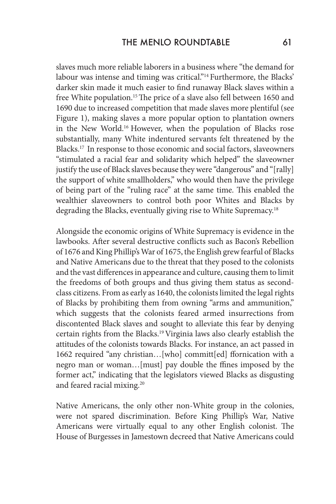slaves much more reliable laborers in a business where "the demand for labour was intense and timing was critical."<sup>14</sup> Furthermore, the Blacks' darker skin made it much easier to find runaway Black slaves within a free White population.<sup>15</sup> The price of a slave also fell between 1650 and 1690 due to increased competition that made slaves more plentiful (see Figure 1), making slaves a more popular option to plantation owners in the New World.16 However, when the population of Blacks rose substantially, many White indentured servants felt threatened by the Blacks.17 In response to those economic and social factors, slaveowners "stimulated a racial fear and solidarity which helped" the slaveowner justify the use of Black slaves because they were "dangerous" and "[rally] the support of white smallholders," who would then have the privilege of being part of the "ruling race" at the same time. This enabled the wealthier slaveowners to control both poor Whites and Blacks by degrading the Blacks, eventually giving rise to White Supremacy.18

Alongside the economic origins of White Supremacy is evidence in the lawbooks. After several destructive conflicts such as Bacon's Rebellion of 1676 and King Phillip's War of 1675, the English grew fearful of Blacks and Native Americans due to the threat that they posed to the colonists and the vast differences in appearance and culture, causing them to limit the freedoms of both groups and thus giving them status as secondclass citizens. From as early as 1640, the colonists limited the legal rights of Blacks by prohibiting them from owning "arms and ammunition," which suggests that the colonists feared armed insurrections from discontented Black slaves and sought to alleviate this fear by denying certain rights from the Blacks.19 Virginia laws also clearly establish the attitudes of the colonists towards Blacks. For instance, an act passed in 1662 required "any christian…[who] committ[ed] ffornication with a negro man or woman…[must] pay double the ffines imposed by the former act," indicating that the legislators viewed Blacks as disgusting and feared racial mixing.<sup>20</sup>

Native Americans, the only other non-White group in the colonies, were not spared discrimination. Before King Phillip's War, Native Americans were virtually equal to any other English colonist. The House of Burgesses in Jamestown decreed that Native Americans could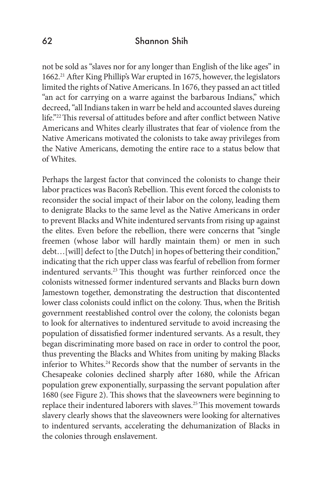not be sold as "slaves nor for any longer than English of the like ages" in 1662.21 After King Phillip's War erupted in 1675, however, the legislators limited the rights of Native Americans. In 1676, they passed an act titled "an act for carrying on a warre against the barbarous Indians," which decreed, "all Indians taken in warr be held and accounted slaves dureing life."22 This reversal of attitudes before and after conflict between Native Americans and Whites clearly illustrates that fear of violence from the Native Americans motivated the colonists to take away privileges from the Native Americans, demoting the entire race to a status below that of Whites.

Perhaps the largest factor that convinced the colonists to change their labor practices was Bacon's Rebellion. This event forced the colonists to reconsider the social impact of their labor on the colony, leading them to denigrate Blacks to the same level as the Native Americans in order to prevent Blacks and White indentured servants from rising up against the elites. Even before the rebellion, there were concerns that "single freemen (whose labor will hardly maintain them) or men in such debt... [will] defect to [the Dutch] in hopes of bettering their condition," indicating that the rich upper class was fearful of rebellion from former indentured servants.23 This thought was further reinforced once the colonists witnessed former indentured servants and Blacks burn down Jamestown together, demonstrating the destruction that discontented lower class colonists could inflict on the colony. Thus, when the British government reestablished control over the colony, the colonists began to look for alternatives to indentured servitude to avoid increasing the population of dissatisfied former indentured servants. As a result, they began discriminating more based on race in order to control the poor, thus preventing the Blacks and Whites from uniting by making Blacks inferior to Whites.<sup>24</sup> Records show that the number of servants in the Chesapeake colonies declined sharply after 1680, while the African population grew exponentially, surpassing the servant population after 1680 (see Figure 2). This shows that the slaveowners were beginning to replace their indentured laborers with slaves.<sup>25</sup> This movement towards slavery clearly shows that the slaveowners were looking for alternatives to indentured servants, accelerating the dehumanization of Blacks in the colonies through enslavement.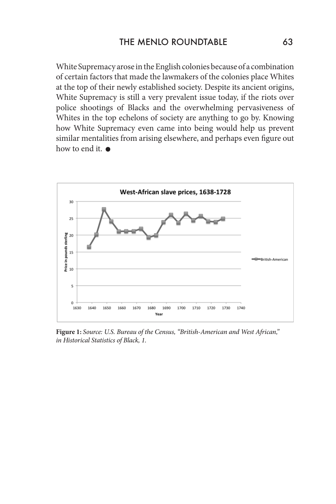White Supremacy arose in the English colonies because of a combination of certain factors that made the lawmakers of the colonies place Whites at the top of their newly established society. Despite its ancient origins, White Supremacy is still a very prevalent issue today, if the riots over police shootings of Blacks and the overwhelming pervasiveness of Whites in the top echelons of society are anything to go by. Knowing how White Supremacy even came into being would help us prevent similar mentalities from arising elsewhere, and perhaps even figure out how to end it.  $\bullet$ 



**Figure 1:** *Source: U.S. Bureau of the Census, "British-American and West African," in Historical Statistics of Black, 1.*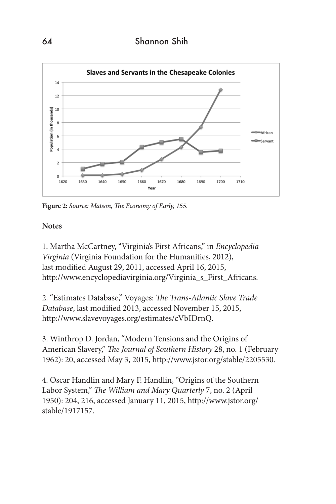

**Figure 2:** *Source: Matson, The Economy of Early, 155.*

#### **Notes**

1. Martha McCartney, "Virginia's First Africans," in *Encyclopedia Virginia* (Virginia Foundation for the Humanities, 2012), last modified August 29, 2011, accessed April 16, 2015, http://www.encyclopediavirginia.org/Virginia\_s\_First\_Africans.

2. "Estimates Database," Voyages: *The Trans-Atlantic Slave Trade Database*, last modified 2013, accessed November 15, 2015, http://www.slavevoyages.org/estimates/cVbIDrnQ.

3. Winthrop D. Jordan, "Modern Tensions and the Origins of American Slavery," *The Journal of Southern History* 28, no. 1 (February 1962): 20, accessed May 3, 2015, http://www.jstor.org/stable/2205530.

4. Oscar Handlin and Mary F. Handlin, "Origins of the Southern Labor System," *The William and Mary Quarterly* 7, no. 2 (April 1950): 204, 216, accessed January 11, 2015, http://www.jstor.org/ stable/1917157.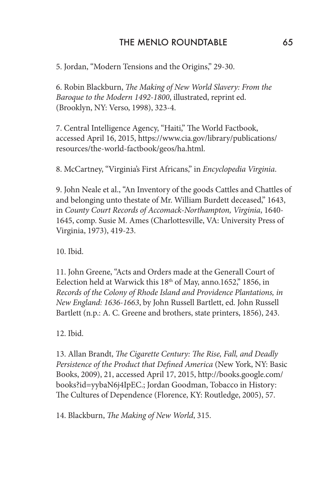### THE MENLO ROUNDTABLE 65

5. Jordan, "Modern Tensions and the Origins," 29-30.

6. Robin Blackburn, *The Making of New World Slavery: From the Baroque to the Modern 1492-1800*, illustrated, reprint ed. (Brooklyn, NY: Verso, 1998), 323-4.

7. Central Intelligence Agency, "Haiti," The World Factbook, accessed April 16, 2015, https://www.cia.gov/library/publications/ resources/the-world-factbook/geos/ha.html.

8. McCartney, "Virginia's First Africans," in *Encyclopedia Virginia*.

9. John Neale et al., "An Inventory of the goods Cattles and Chattles of and belonging unto thestate of Mr. William Burdett deceased," 1643, in *County Court Records of Accomack-Northampton, Virginia*, 1640- 1645, comp. Susie M. Ames (Charlottesville, VA: University Press of Virginia, 1973), 419-23.

10. Ibid.

11. John Greene, "Acts and Orders made at the Generall Court of Eelection held at Warwick this 18<sup>th</sup> of May, anno.1652," 1856, in *Records of the Colony of Rhode Island and Providence Plantations, in New England: 1636-1663*, by John Russell Bartlett, ed. John Russell Bartlett (n.p.: A. C. Greene and brothers, state printers, 1856), 243.

12. Ibid.

13. Allan Brandt, *The Cigarette Century: The Rise, Fall, and Deadly Persistence of the Product that Defined America* (New York, NY: Basic Books, 2009), 21, accessed April 17, 2015, http://books.google.com/ books?id=yybaN6j4IpEC.; Jordan Goodman, Tobacco in History: The Cultures of Dependence (Florence, KY: Routledge, 2005), 57.

14. Blackburn, *The Making of New World*, 315.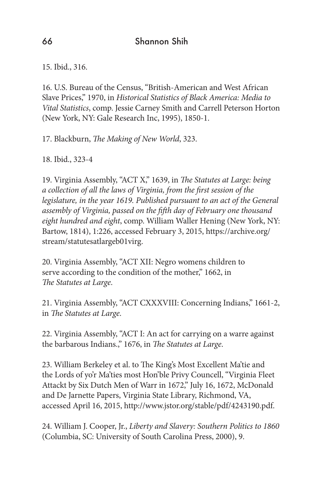15. Ibid., 316.

16. U.S. Bureau of the Census, "British-American and West African Slave Prices," 1970, in *Historical Statistics of Black America: Media to Vital Statistics*, comp. Jessie Carney Smith and Carrell Peterson Horton (New York, NY: Gale Research Inc, 1995), 1850-1.

17. Blackburn, *The Making of New World*, 323.

18. Ibid., 323-4

19. Virginia Assembly, "ACT X," 1639, in *The Statutes at Large: being a collection of all the laws of Virginia, from the first session of the legislature, in the year 1619. Published pursuant to an act of the General assembly of Virginia, passed on the fifth day of February one thousand eight hundred and eight*, comp. William Waller Hening (New York, NY: Bartow, 1814), 1:226, accessed February 3, 2015, https://archive.org/ stream/statutesatlargeb01virg.

20. Virginia Assembly, "ACT XII: Negro womens children to serve according to the condition of the mother," 1662, in *The Statutes at Large*.

21. Virginia Assembly, "ACT CXXXVIII: Concerning Indians," 1661-2, in *The Statutes at Large*.

22. Virginia Assembly, "ACT I: An act for carrying on a warre against the barbarous Indians.," 1676, in *The Statutes at Large*.

23. William Berkeley et al. to The King's Most Excellent Ma'tie and the Lords of yo'r Ma'ties most Hon'ble Privy Councell, "Virginia Fleet Attackt by Six Dutch Men of Warr in 1672," July 16, 1672, McDonald and De Jarnette Papers, Virginia State Library, Richmond, VA, accessed April 16, 2015, http://www.jstor.org/stable/pdf/4243190.pdf.

24. William J. Cooper, Jr., *Liberty and Slavery: Southern Politics to 1860* (Columbia, SC: University of South Carolina Press, 2000), 9.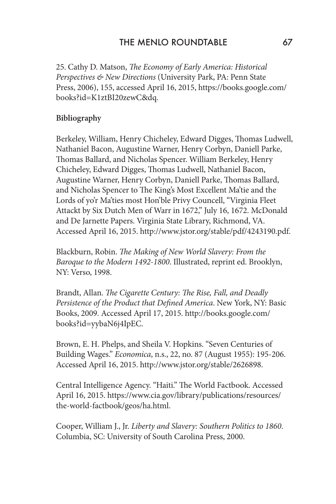25. Cathy D. Matson, *The Economy of Early America: Historical Perspectives & New Directions* (University Park, PA: Penn State Press, 2006), 155, accessed April 16, 2015, https://books.google.com/ books?id=K1ztBI20zewC&dq.

### **Bibliography**

Berkeley, William, Henry Chicheley, Edward Digges, Thomas Ludwell, Nathaniel Bacon, Augustine Warner, Henry Corbyn, Daniell Parke, Thomas Ballard, and Nicholas Spencer. William Berkeley, Henry Chicheley, Edward Digges, Thomas Ludwell, Nathaniel Bacon, Augustine Warner, Henry Corbyn, Daniell Parke, Thomas Ballard, and Nicholas Spencer to The King's Most Excellent Ma'tie and the Lords of yo'r Ma'ties most Hon'ble Privy Councell, "Virginia Fleet Attackt by Six Dutch Men of Warr in 1672," July 16, 1672. McDonald and De Jarnette Papers. Virginia State Library, Richmond, VA. Accessed April 16, 2015. http://www.jstor.org/stable/pdf/4243190.pdf.

Blackburn, Robin. *The Making of New World Slavery: From the Baroque to the Modern 1492-1800*. Illustrated, reprint ed. Brooklyn, NY: Verso, 1998.

Brandt, Allan. *The Cigarette Century: The Rise, Fall, and Deadly Persistence of the Product that Defined America*. New York, NY: Basic Books, 2009. Accessed April 17, 2015. http://books.google.com/ books?id=yybaN6j4IpEC.

Brown, E. H. Phelps, and Sheila V. Hopkins. "Seven Centuries of Building Wages." *Economica*, n.s., 22, no. 87 (August 1955): 195-206. Accessed April 16, 2015. http://www.jstor.org/stable/2626898.

Central Intelligence Agency. "Haiti." The World Factbook. Accessed April 16, 2015. https://www.cia.gov/library/publications/resources/ the-world-factbook/geos/ha.html.

Cooper, William J., Jr. *Liberty and Slavery: Southern Politics to 1860*. Columbia, SC: University of South Carolina Press, 2000.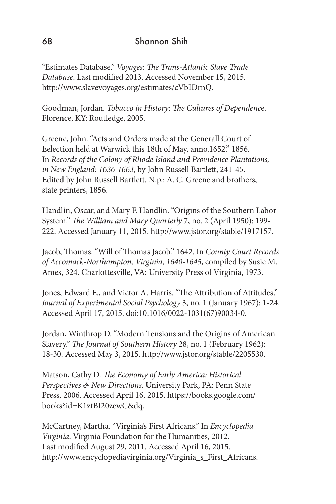"Estimates Database." *Voyages: The Trans-Atlantic Slave Trade Database*. Last modified 2013. Accessed November 15, 2015. http://www.slavevoyages.org/estimates/cVbIDrnQ.

Goodman, Jordan. *Tobacco in History: The Cultures of Dependenc*e. Florence, KY: Routledge, 2005.

Greene, John. "Acts and Orders made at the Generall Court of Eelection held at Warwick this 18th of May, anno.1652." 1856. In *Records of the Colony of Rhode Island and Providence Plantations, in New England: 1636-1663*, by John Russell Bartlett, 241-45. Edited by John Russell Bartlett. N.p.: A. C. Greene and brothers, state printers, 1856.

Handlin, Oscar, and Mary F. Handlin. "Origins of the Southern Labor System." *The William and Mary Quarterly* 7, no. 2 (April 1950): 199- 222. Accessed January 11, 2015. http://www.jstor.org/stable/1917157.

Jacob, Thomas. "Will of Thomas Jacob." 1642. In *County Court Records of Accomack-Northampton, Virginia, 1640-1645*, compiled by Susie M. Ames, 324. Charlottesville, VA: University Press of Virginia, 1973.

Jones, Edward E., and Victor A. Harris. "The Attribution of Attitudes." *Journal of Experimental Social Psychology* 3, no. 1 (January 1967): 1-24. Accessed April 17, 2015. doi:10.1016/0022-1031(67)90034-0.

Jordan, Winthrop D. "Modern Tensions and the Origins of American Slavery." *The Journal of Southern History* 28, no. 1 (February 1962): 18-30. Accessed May 3, 2015. http://www.jstor.org/stable/2205530.

Matson, Cathy D. *The Economy of Early America: Historical Perspectives & New Directions*. University Park, PA: Penn State Press, 2006. Accessed April 16, 2015. https://books.google.com/ books?id=K1ztBI20zewC&dq.

McCartney, Martha. "Virginia's First Africans." In *Encyclopedia Virginia*. Virginia Foundation for the Humanities, 2012. Last modified August 29, 2011. Accessed April 16, 2015. http://www.encyclopediavirginia.org/Virginia\_s\_First\_Africans.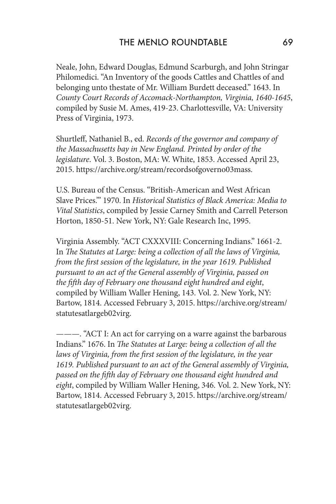Neale, John, Edward Douglas, Edmund Scarburgh, and John Stringar Philomedici. "An Inventory of the goods Cattles and Chattles of and belonging unto thestate of Mr. William Burdett deceased." 1643. In *County Court Records of Accomack-Northampton, Virginia, 1640-1645*, compiled by Susie M. Ames, 419-23. Charlottesville, VA: University Press of Virginia, 1973.

Shurtleff, Nathaniel B., ed. *Records of the governor and company of the Massachusetts bay in New England. Printed by order of the legislature*. Vol. 3. Boston, MA: W. White, 1853. Accessed April 23, 2015. https://archive.org/stream/recordsofgoverno03mass.

U.S. Bureau of the Census. "British-American and West African Slave Prices.'" 1970. In *Historical Statistics of Black America: Media to Vital Statistics*, compiled by Jessie Carney Smith and Carrell Peterson Horton, 1850-51. New York, NY: Gale Research Inc, 1995.

Virginia Assembly. "ACT CXXXVIII: Concerning Indians." 1661-2. In *The Statutes at Large: being a collection of all the laws of Virginia, from the first session of the legislature, in the year 1619. Published pursuant to an act of the General assembly of Virginia, passed on the fifth day of February one thousand eight hundred and eight*, compiled by William Waller Hening, 143. Vol. 2. New York, NY: Bartow, 1814. Accessed February 3, 2015. https://archive.org/stream/ statutesatlargeb02virg.

———. "ACT I: An act for carrying on a warre against the barbarous Indians." 1676. In *The Statutes at Large: being a collection of all the*  laws of Virginia, from the first session of the legislature, in the year *1619. Published pursuant to an act of the General assembly of Virginia, passed on the fifth day of February one thousand eight hundred and eight*, compiled by William Waller Hening, 346. Vol. 2. New York, NY: Bartow, 1814. Accessed February 3, 2015. https://archive.org/stream/ statutesatlargeb02virg.